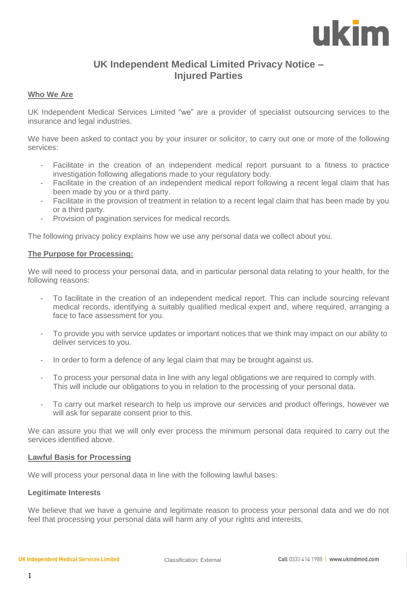# ukim

# **UK Independent Medical Limited Privacy Notice – Injured Parties**

## **Who We Are**

UK Independent Medical Services Limited "we" are a provider of specialist outsourcing services to the insurance and legal industries.

We have been asked to contact you by your insurer or solicitor, to carry out one or more of the following services:

- Facilitate in the creation of an independent medical report pursuant to a fitness to practice investigation following allegations made to your regulatory body.
- Facilitate in the creation of an independent medical report following a recent legal claim that has been made by you or a third party.
- Facilitate in the provision of treatment in relation to a recent legal claim that has been made by you or a third party.
- Provision of pagination services for medical records.

The following privacy policy explains how we use any personal data we collect about you.

#### **The Purpose for Processing:**

We will need to process your personal data, and in particular personal data relating to your health, for the following reasons:

- To facilitate in the creation of an independent medical report. This can include sourcing relevant medical records, identifying a suitably qualified medical expert and, where required, arranging a face to face assessment for you.
- To provide you with service updates or important notices that we think may impact on our ability to deliver services to you.
- In order to form a defence of any legal claim that may be brought against us.
- To process your personal data in line with any legal obligations we are required to comply with. This will include our obligations to you in relation to the processing of your personal data.
- To carry out market research to help us improve our services and product offerings, however we will ask for separate consent prior to this.

We can assure you that we will only ever process the minimum personal data required to carry out the services identified above.

### **Lawful Basis for Processing**

We will process your personal data in line with the following lawful bases:

### **Legitimate Interests**

We believe that we have a genuine and legitimate reason to process your personal data and we do not feel that processing your personal data will harm any of your rights and interests.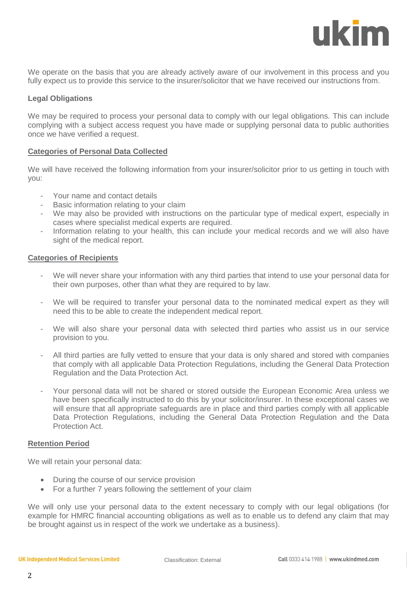ukim

We operate on the basis that you are already actively aware of our involvement in this process and you fully expect us to provide this service to the insurer/solicitor that we have received our instructions from.

#### **Legal Obligations**

We may be required to process your personal data to comply with our legal obligations. This can include complying with a subject access request you have made or supplying personal data to public authorities once we have verified a request.

#### **Categories of Personal Data Collected**

We will have received the following information from your insurer/solicitor prior to us getting in touch with you:

- Your name and contact details
- Basic information relating to your claim
- We may also be provided with instructions on the particular type of medical expert, especially in cases where specialist medical experts are required.
- Information relating to your health, this can include your medical records and we will also have sight of the medical report.

#### **Categories of Recipients**

- We will never share your information with any third parties that intend to use your personal data for their own purposes, other than what they are required to by law.
- We will be required to transfer your personal data to the nominated medical expert as they will need this to be able to create the independent medical report.
- We will also share your personal data with selected third parties who assist us in our service provision to you.
- All third parties are fully vetted to ensure that your data is only shared and stored with companies that comply with all applicable Data Protection Regulations, including the General Data Protection Regulation and the Data Protection Act.
- Your personal data will not be shared or stored outside the European Economic Area unless we have been specifically instructed to do this by your solicitor/insurer. In these exceptional cases we will ensure that all appropriate safeguards are in place and third parties comply with all applicable Data Protection Regulations, including the General Data Protection Regulation and the Data Protection Act.

#### **Retention Period**

We will retain your personal data:

- During the course of our service provision
- For a further 7 years following the settlement of your claim

We will only use your personal data to the extent necessary to comply with our legal obligations (for example for HMRC financial accounting obligations as well as to enable us to defend any claim that may be brought against us in respect of the work we undertake as a business).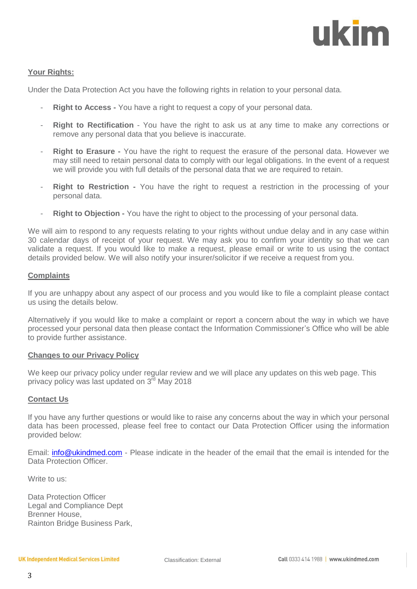

### **Your Rights:**

Under the Data Protection Act you have the following rights in relation to your personal data.

- **Right to Access** You have a right to request a copy of your personal data.
- **Right to Rectification** You have the right to ask us at any time to make any corrections or remove any personal data that you believe is inaccurate.
- **Right to Erasure** You have the right to request the erasure of the personal data. However we may still need to retain personal data to comply with our legal obligations. In the event of a request we will provide you with full details of the personal data that we are required to retain.
- **Right to Restriction -** You have the right to request a restriction in the processing of your personal data.
- **Right to Objection -** You have the right to object to the processing of your personal data.

We will aim to respond to any requests relating to your rights without undue delay and in any case within 30 calendar days of receipt of your request. We may ask you to confirm your identity so that we can validate a request. If you would like to make a request, please email or write to us using the contact details provided below. We will also notify your insurer/solicitor if we receive a request from you.

#### **Complaints**

If you are unhappy about any aspect of our process and you would like to file a complaint please contact us using the details below.

Alternatively if you would like to make a complaint or report a concern about the way in which we have processed your personal data then please contact the Information Commissioner's Office who will be able to provide further assistance.

#### **Changes to our Privacy Policy**

We keep our privacy policy under regular review and we will place any updates on this web page. This privacy policy was last updated on 3<sup>rd</sup> May 2018

#### **Contact Us**

If you have any further questions or would like to raise any concerns about the way in which your personal data has been processed, please feel free to contact our Data Protection Officer using the information provided below:

Email: [info@ukindmed.com](mailto:info@ukindmed.com) - Please indicate in the header of the email that the email is intended for the Data Protection Officer.

Write to us:

Data Protection Officer Legal and Compliance Dept Brenner House, Rainton Bridge Business Park,